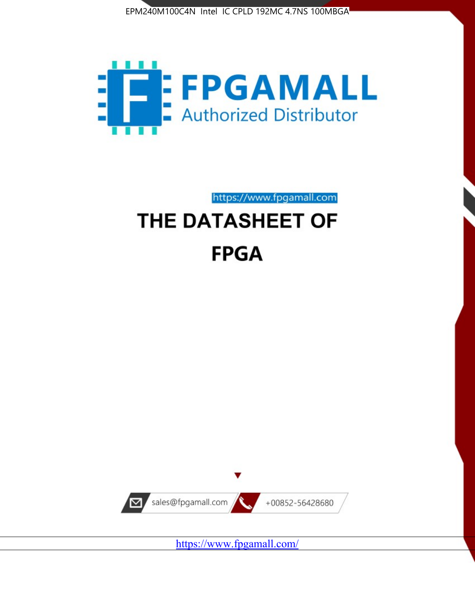



https://www.fpgamall.com THE DATASHEET OF

# **FPGA**



https://www.fpgamall.com/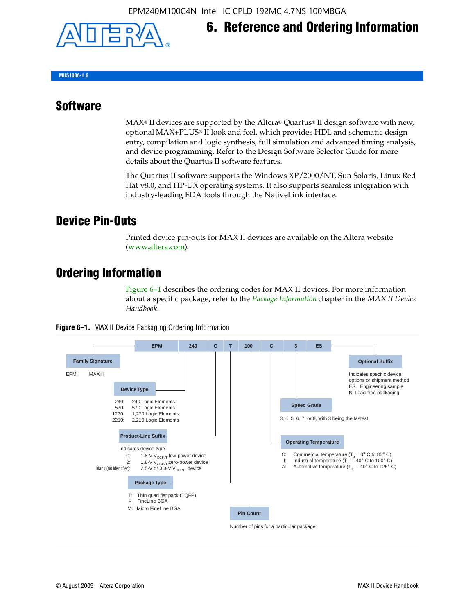

**MII51006-1.6**

#### **Software**

 $MAX<sup>®</sup>$  II devices are supported by the Altera® Quartus<sup>®</sup> II design software with new, optional MAX+PLUS® II look and feel, which provides HDL and schematic design entry, compilation and logic synthesis, full simulation and advanced timing analysis, and device programming. Refer to the Design Software Selector Guide for more details about the Quartus II software features.

**6. Reference and Ordering Information**

The Quartus II software supports the Windows XP/2000/NT, Sun Solaris, Linux Red Hat v8.0, and HP-UX operating systems. It also supports seamless integration with industry-leading EDA tools through the NativeLink interface.

#### **Device Pin-Outs**

Printed device pin-outs for MAX II devices are available on the Altera website ([www.altera.com](http://www.altera.com/)).

### **Ordering Information**

Figure 6–1 describes the ordering codes for MAX II devices. For more information about a specific package, refer to the *[Package Information](http://www.altera.com/literature/hb/max2/max2_mii51007.pdf)* chapter in the *MAX II Device Handbook*.



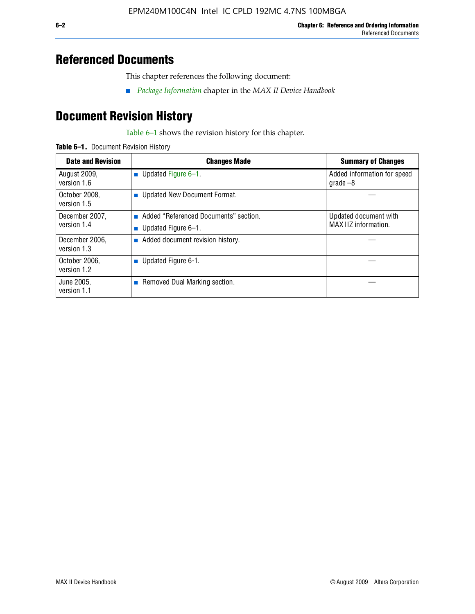### **Referenced Documents**

This chapter references the following document:

■ *[Package Information](http://www.altera.com/literature/hb/max2/max2_mii51007.pdf)* chapter in the *MAX II Device Handbook*

## **Document Revision History**

Table 6–1 shows the revision history for this chapter.

| Table 6-1. Document Revision History |
|--------------------------------------|
|                                      |

| <b>Date and Revision</b>      | <b>Changes Made</b>                                          | <b>Summary of Changes</b>                     |
|-------------------------------|--------------------------------------------------------------|-----------------------------------------------|
| August 2009,<br>version 1.6   | Updated Figure 6-1.<br>$\sim$                                | Added information for speed<br>$q\,rad\,e-8$  |
| October 2008,<br>version 1.5  | Updated New Document Format.                                 |                                               |
| December 2007,<br>version 1.4 | Added "Referenced Documents" section.<br>Updated Figure 6-1. | Updated document with<br>MAX IIZ information. |
| December 2006,<br>version 1.3 | Added document revision history.                             |                                               |
| October 2006.<br>version 1.2  | Updated Figure 6-1.                                          |                                               |
| June 2005.<br>version 1.1     | Removed Dual Marking section.                                |                                               |